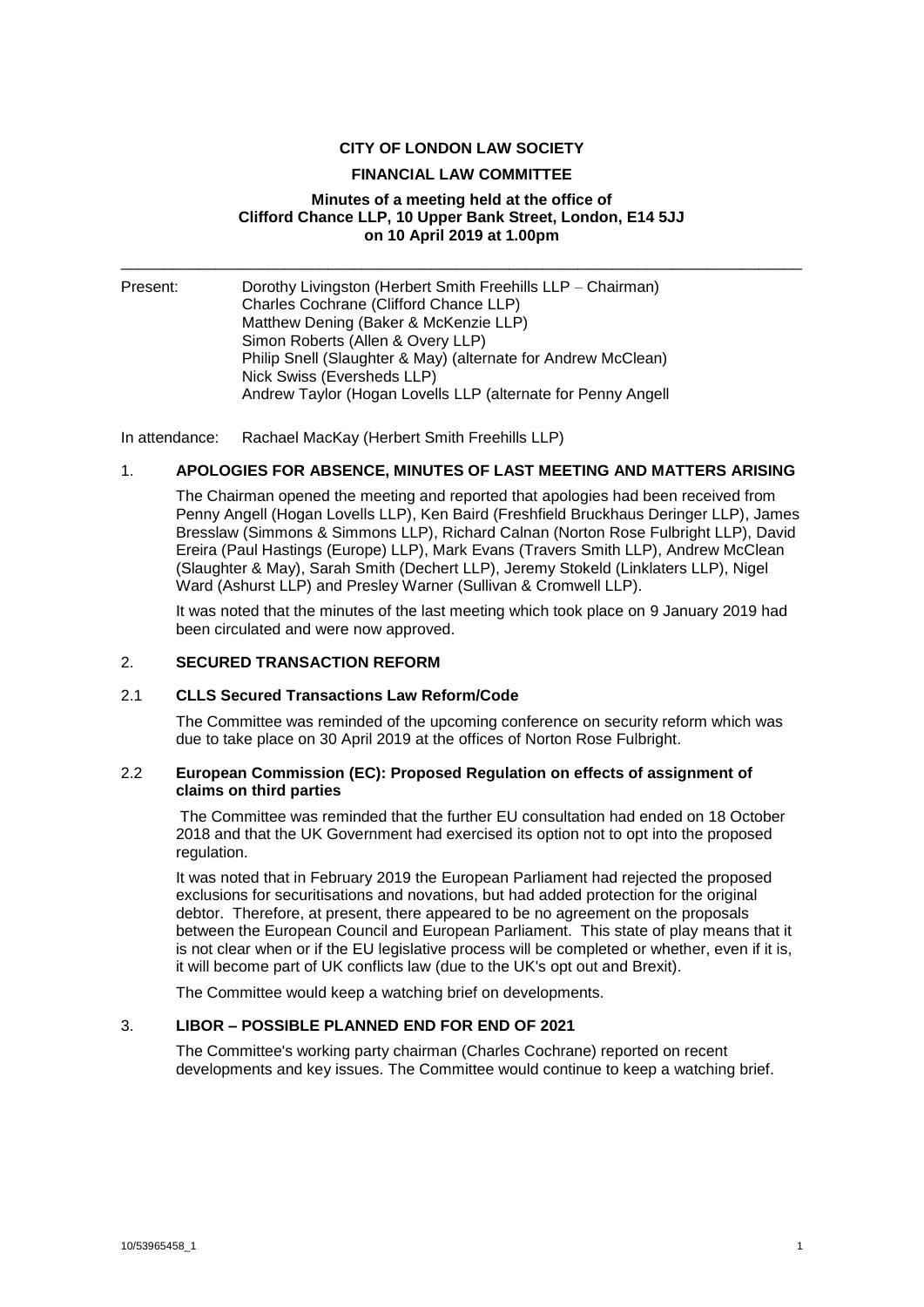### **CITY OF LONDON LAW SOCIETY**

#### **FINANCIAL LAW COMMITTEE**

### **Minutes of a meeting held at the office of Clifford Chance LLP, 10 Upper Bank Street, London, E14 5JJ on 10 April 2019 at 1.00pm**

\_\_\_\_\_\_\_\_\_\_\_\_\_\_\_\_\_\_\_\_\_\_\_\_\_\_\_\_\_\_\_\_\_\_\_\_\_\_\_\_\_\_\_\_\_\_\_\_\_\_\_\_\_\_\_\_\_\_\_\_\_\_\_\_\_\_\_\_\_\_\_\_\_\_\_\_\_\_\_

Present: Dorothy Livingston (Herbert Smith Freehills LLP – Chairman) Charles Cochrane (Clifford Chance LLP) Matthew Dening (Baker & McKenzie LLP) Simon Roberts (Allen & Overy LLP) Philip Snell (Slaughter & May) (alternate for Andrew McClean) Nick Swiss (Eversheds LLP) Andrew Taylor (Hogan Lovells LLP (alternate for Penny Angell

In attendance: Rachael MacKay (Herbert Smith Freehills LLP)

# 1. **APOLOGIES FOR ABSENCE, MINUTES OF LAST MEETING AND MATTERS ARISING**

The Chairman opened the meeting and reported that apologies had been received from Penny Angell (Hogan Lovells LLP), Ken Baird (Freshfield Bruckhaus Deringer LLP), James Bresslaw (Simmons & Simmons LLP), Richard Calnan (Norton Rose Fulbright LLP), David Ereira (Paul Hastings (Europe) LLP), Mark Evans (Travers Smith LLP), Andrew McClean (Slaughter & May), Sarah Smith (Dechert LLP), Jeremy Stokeld (Linklaters LLP), Nigel Ward (Ashurst LLP) and Presley Warner (Sullivan & Cromwell LLP).

It was noted that the minutes of the last meeting which took place on 9 January 2019 had been circulated and were now approved.

### 2. **SECURED TRANSACTION REFORM**

### 2.1 **CLLS Secured Transactions Law Reform/Code**

The Committee was reminded of the upcoming conference on security reform which was due to take place on 30 April 2019 at the offices of Norton Rose Fulbright.

### 2.2 **European Commission (EC): Proposed Regulation on effects of assignment of claims on third parties**

The Committee was reminded that the further EU consultation had ended on 18 October 2018 and that the UK Government had exercised its option not to opt into the proposed regulation.

It was noted that in February 2019 the European Parliament had rejected the proposed exclusions for securitisations and novations, but had added protection for the original debtor. Therefore, at present, there appeared to be no agreement on the proposals between the European Council and European Parliament. This state of play means that it is not clear when or if the EU legislative process will be completed or whether, even if it is, it will become part of UK conflicts law (due to the UK's opt out and Brexit).

The Committee would keep a watching brief on developments.

### 3. **LIBOR – POSSIBLE PLANNED END FOR END OF 2021**

The Committee's working party chairman (Charles Cochrane) reported on recent developments and key issues. The Committee would continue to keep a watching brief.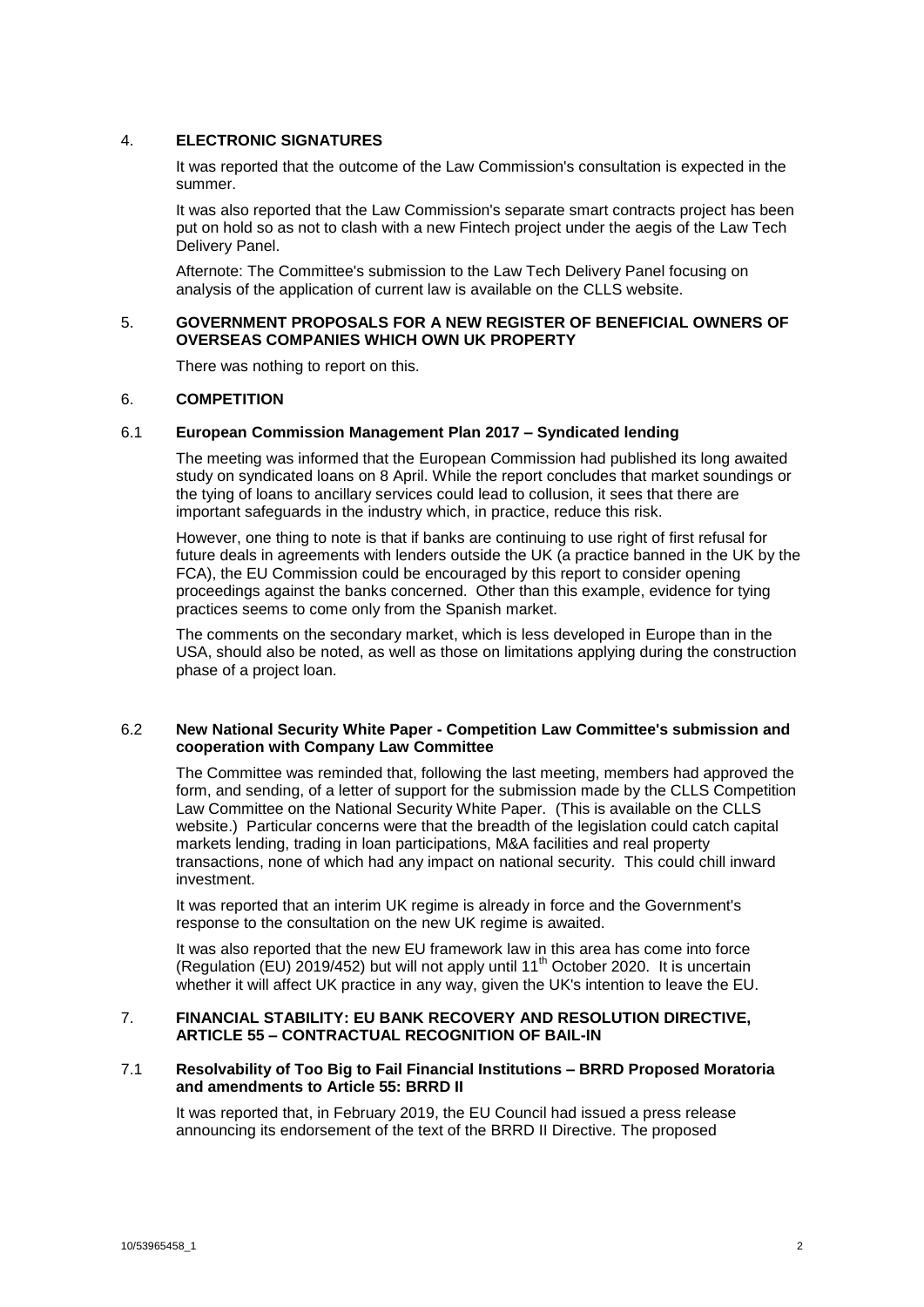### 4. **ELECTRONIC SIGNATURES**

It was reported that the outcome of the Law Commission's consultation is expected in the summer.

It was also reported that the Law Commission's separate smart contracts project has been put on hold so as not to clash with a new Fintech project under the aegis of the Law Tech Delivery Panel.

Afternote: The Committee's submission to the Law Tech Delivery Panel focusing on analysis of the application of current law is available on the CLLS website.

## 5. **GOVERNMENT PROPOSALS FOR A NEW REGISTER OF BENEFICIAL OWNERS OF OVERSEAS COMPANIES WHICH OWN UK PROPERTY**

There was nothing to report on this.

### 6. **COMPETITION**

### 6.1 **European Commission Management Plan 2017 – Syndicated lending**

The meeting was informed that the European Commission had published its long awaited study on syndicated loans on 8 April. While the report concludes that market soundings or the tying of loans to ancillary services could lead to collusion, it sees that there are important safeguards in the industry which, in practice, reduce this risk.

However, one thing to note is that if banks are continuing to use right of first refusal for future deals in agreements with lenders outside the UK (a practice banned in the UK by the FCA), the EU Commission could be encouraged by this report to consider opening proceedings against the banks concerned. Other than this example, evidence for tying practices seems to come only from the Spanish market.

The comments on the secondary market, which is less developed in Europe than in the USA, should also be noted, as well as those on limitations applying during the construction phase of a project loan.

### 6.2 **New National Security White Paper - Competition Law Committee's submission and cooperation with Company Law Committee**

The Committee was reminded that, following the last meeting, members had approved the form, and sending, of a letter of support for the submission made by the CLLS Competition Law Committee on the National Security White Paper. (This is available on the CLLS website.) Particular concerns were that the breadth of the legislation could catch capital markets lending, trading in loan participations, M&A facilities and real property transactions, none of which had any impact on national security. This could chill inward investment.

It was reported that an interim UK regime is already in force and the Government's response to the consultation on the new UK regime is awaited.

It was also reported that the new EU framework law in this area has come into force (Regulation (EU) 2019/452) but will not apply until 11<sup>th</sup> October 2020. It is uncertain whether it will affect UK practice in any way, given the UK's intention to leave the EU.

## 7. **FINANCIAL STABILITY: EU BANK RECOVERY AND RESOLUTION DIRECTIVE, ARTICLE 55 – CONTRACTUAL RECOGNITION OF BAIL-IN**

#### 7.1 **Resolvability of Too Big to Fail Financial Institutions – BRRD Proposed Moratoria and amendments to Article 55: BRRD II**

It was reported that, in February 2019, the EU Council had issued a press release announcing its endorsement of the text of the BRRD II Directive. The proposed